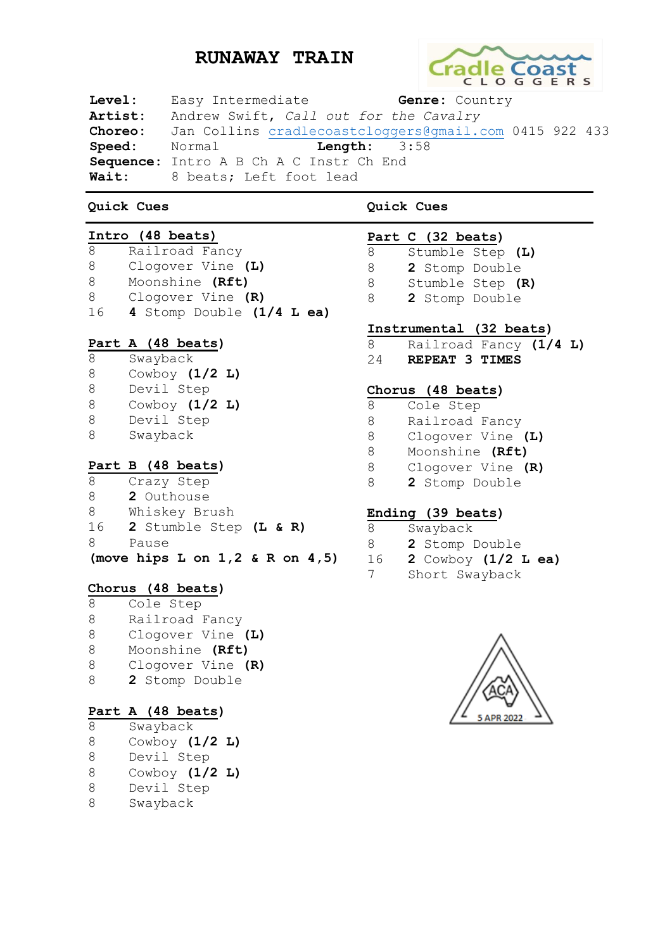# **RUNAWAY TRAIN**



**Level:** Easy Intermediate **Genre:** Country **Artist:** Andrew Swift, *Call out for the Cavalry* **Choreo:** Jan Collins [cradlecoastcloggers@gmail.com](mailto:cradlecoastcloggers@gmail.com) 0415 922 433 **Speed:** Normal **Length:** 3:58 **Sequence:** Intro A B Ch A C Instr Ch End **Wait:** 8 beats; Left foot lead

### **Quick Cues**

### **Intro (48 beats)**

| 8  | Railroad Fancy              |
|----|-----------------------------|
| 8  | Clogover Vine (L)           |
| 8  | Moonshine (Rft)             |
| 8  | Clogover Vine (R)           |
| 16 | 4 Stomp Double $(1/4$ L ea) |
|    |                             |
|    |                             |

### **Part A (48 beats)**

 Swayback Cowboy **(1/2 L)** Devil Step Cowboy **(1/2 L)** Devil Step Swayback

# **Part B (48 beats)**

- Crazy Step
- **2** Outhouse
- Whiskey Brush
- **2** Stumble Step **(L & R)**
- Pause

**(move hips L on 1,2 & R on 4,5)**

### **Chorus (48 beats)**

 Cole Step Railroad Fancy Clogover Vine **(L)** Moonshine **(Rft)** Clogover Vine **(R) 2** Stomp Double

### **Part A (48 beats)**

- Swayback Cowboy **(1/2 L)** Devil Step Cowboy **(1/2 L)** Devil Step
- Swayback

**Quick Cues**

### **Part C (32 beats)** Stumble Step **(L)**

 **2** Stomp Double Stumble Step **(R) 2** Stomp Double

### **Instrumental (32 beats)**

 Railroad Fancy **(1/4 L) REPEAT 3 TIMES**

### **Chorus (48 beats)**

- Cole Step
- Railroad Fancy
- Clogover Vine **(L)**
- Moonshine **(Rft)**
- Clogover Vine **(R)**
- **2** Stomp Double

### **Ending (39 beats)**

- Swayback
- **2** Stomp Double
- **2** Cowboy **(1/2 L ea)**
- Short Swayback